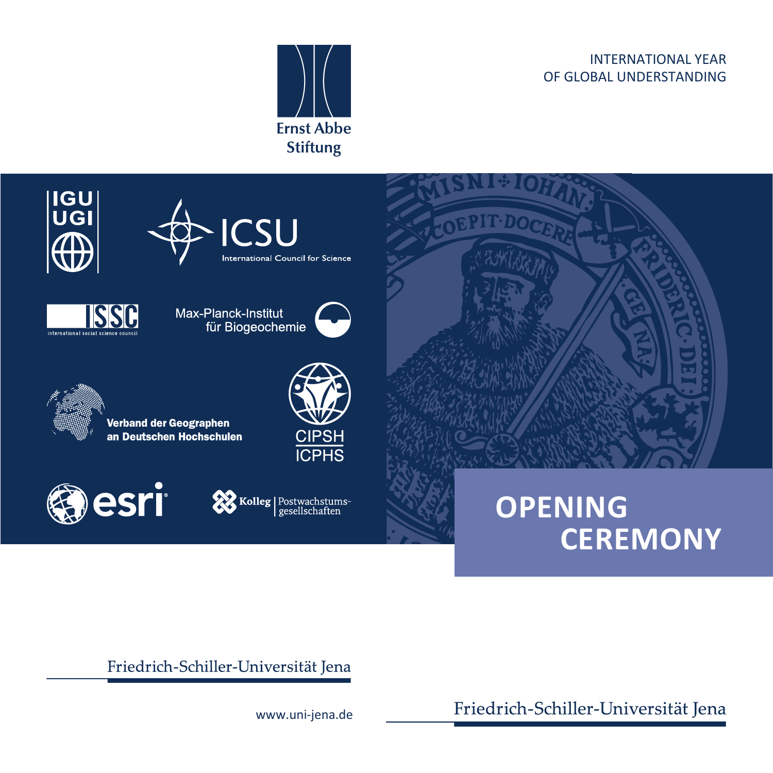#### INTERNATIONAL YEAR OF GLOBAL UNDERSTANDING





# **OPENING CEREMONY**

Friedrich-Schiller-Universität Jena

Friedrich-Schiller-Universität Jena

www.uni-jena.de